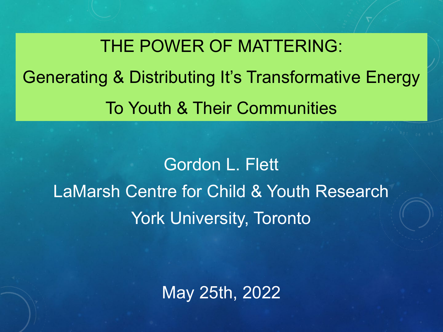THE POWER OF MATTERING: Generating & Distributing It's Transformative Energy To Youth & Their Communities

Gordon L. Flett LaMarsh Centre for Child & Youth Research York University, Toronto

May 25th, 2022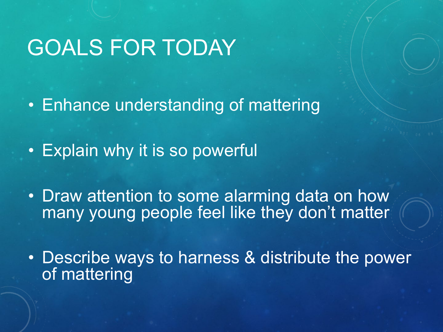#### GOALS FOR TODAY

• Enhance understanding of mattering

• Explain why it is so powerful

• Draw attention to some alarming data on how many young people feel like they don't matter

• Describe ways to harness & distribute the power of mattering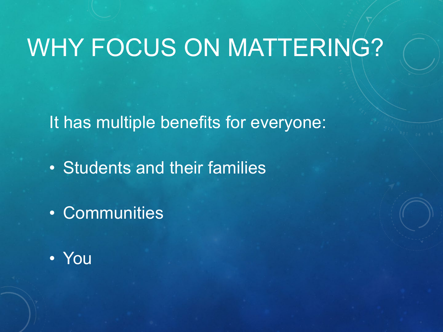# WHY FOCUS ON MATTERING?

It has multiple benefits for everyone:

- Students and their families
- Communities
- You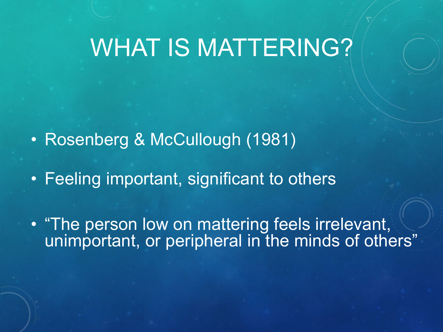# WHAT IS MATTERING?

- Rosenberg & McCullough (1981)
- Feeling important, significant to others
- "The person low on mattering feels irrelevant, unimportant, or peripheral in the minds of others"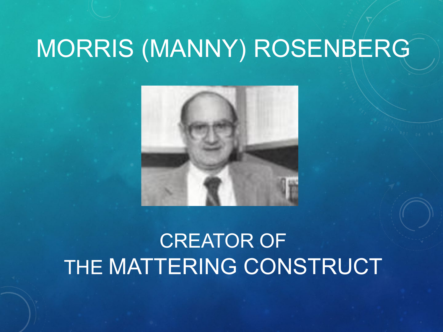# MORRIS (MANNY) ROSENBERG



#### CREATOR OF THE MATTERING CONSTRUCT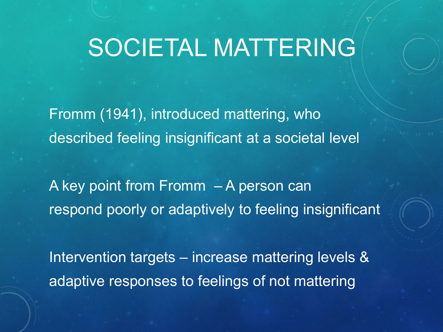## SOCIETAL MATTERING

Fromm (1941), introduced mattering, who described feeling insignificant at a societal level

A key point from Fromm – A person can respond poorly or adaptively to feeling insignificant

Intervention targets – increase mattering levels & adaptive responses to feelings of not mattering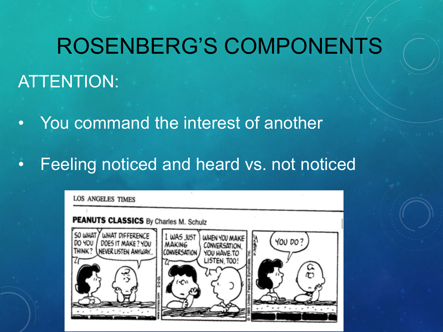## ROSENBERG'S COMPONENTS

#### ATTENTION:

- You command the interest of another
- Feeling noticed and heard vs. not noticed

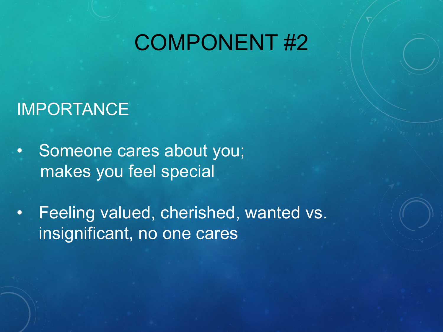#### COMPONENT #2

#### IMPORTANCE

- Someone cares about you; makes you feel special
- Feeling valued, cherished, wanted vs. insignificant, no one cares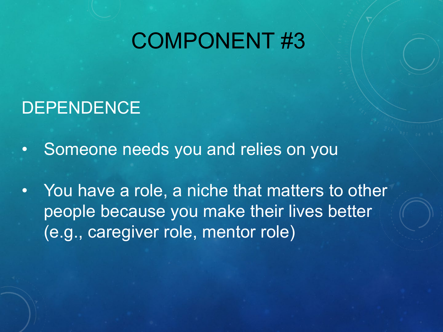#### COMPONENT #3

#### **DEPENDENCE**

- Someone needs you and relies on you
- You have a role, a niche that matters to other people because you make their lives better (e.g., caregiver role, mentor role)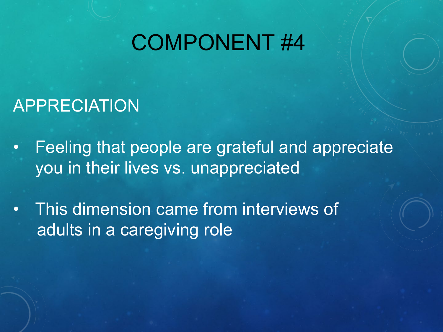#### COMPONENT #4

#### APPRECIATION

- Feeling that people are grateful and appreciate you in their lives vs. unappreciated
- This dimension came from interviews of adults in a caregiving role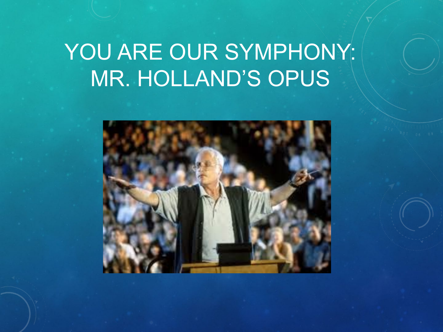## YOU ARE OUR SYMPHONY: MR. HOLLAND'S OPUS

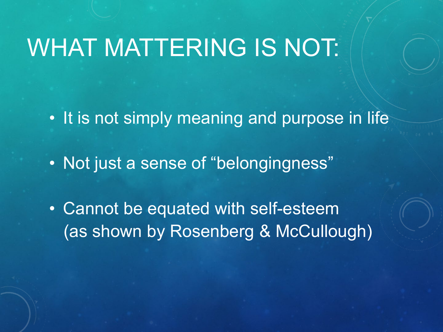## WHAT MATTERING IS NOT:

- It is not simply meaning and purpose in life
- Not just a sense of "belongingness"
- Cannot be equated with self-esteem (as shown by Rosenberg & McCullough)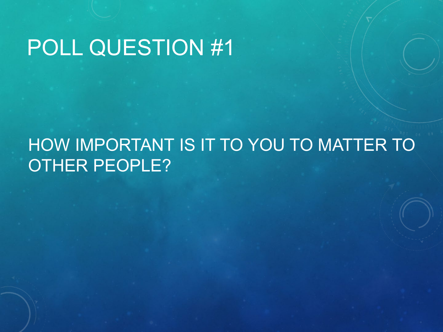## POLL QUESTION #1

#### HOW IMPORTANT IS IT TO YOU TO MATTER TO OTHER PEOPLE?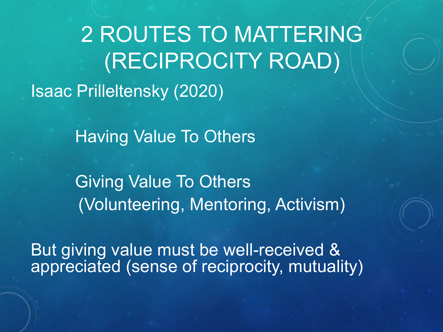2 ROUTES TO MATTERING (RECIPROCITY ROAD) Isaac Prilleltensky (2020)

Having Value To Others

Giving Value To Others (Volunteering, Mentoring, Activism)

But giving value must be well-received & appreciated (sense of reciprocity, mutuality)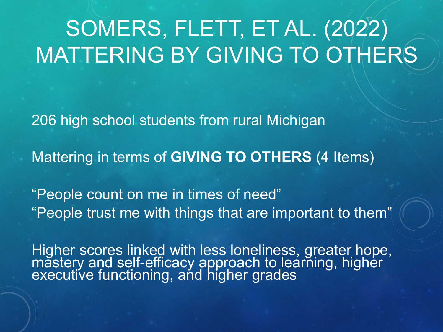# SOMERS, FLETT, ET AL. (2022) MATTERING BY GIVING TO OTHERS

206 high school students from rural Michigan

Mattering in terms of **GIVING TO OTHERS** (4 Items)

"People count on me in times of need" "People trust me with things that are important to them"

Higher scores linked with less loneliness, greater hope, măstery and self-efficacy approach to learñing, higher<br>executive functioning, and higher grades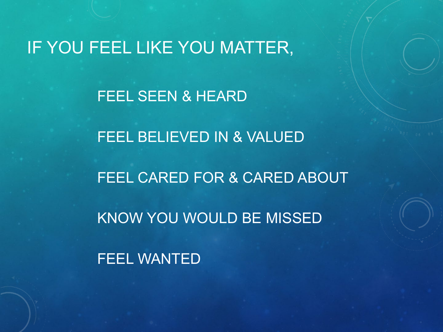#### IF YOU FEEL LIKE YOU MATTER,

FEEL SEEN & HEARD

FEEL BELIEVED IN & VALUED FEEL CARED FOR & CARED ABOUT KNOW YOU WOULD BE MISSED

FEEL WANTED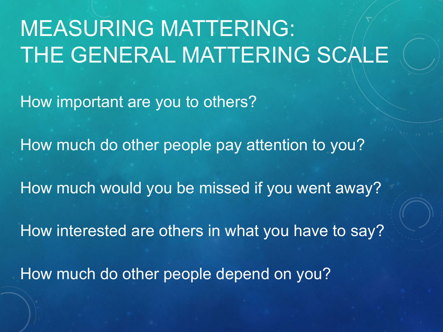## MEASURING MATTERING: THE GENERAL MATTERING SCALE

How important are you to others?

How much do other people pay attention to you?

How much would you be missed if you went away?

How interested are others in what you have to say?

How much do other people depend on you?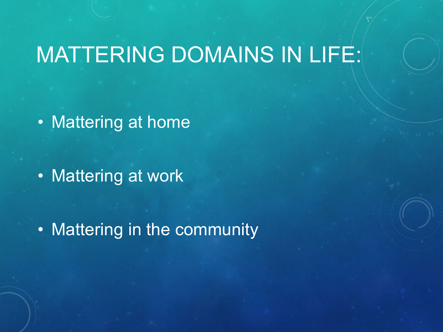#### MATTERING DOMAINS IN LIFE:

• Mattering at home

• Mattering at work

• Mattering in the community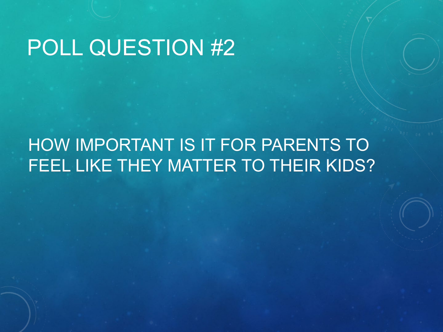## POLL QUESTION #2

#### HOW IMPORTANT IS IT FOR PARENTS TO FEEL LIKE THEY MATTER TO THEIR KIDS?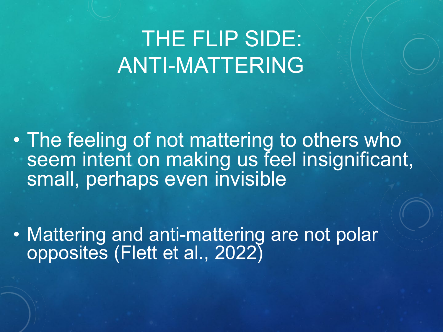## THE FLIP SIDE: ANTI-MATTERING

• The feeling of not mattering to others who seem intent on making us feel insignificant, small, perhaps even invisible

• Mattering and anti-mattering are not polar opposites (Flett et al., 2022)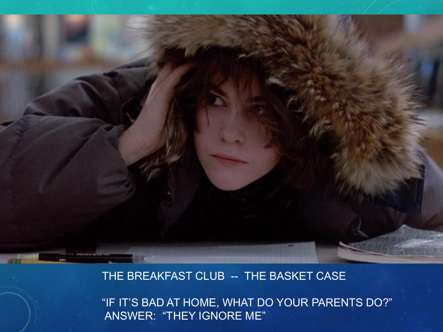

#### THE BREAKFAST CLUB -- THE BASKET CASE

"IF IT'S BAD AT HOME, WHAT DO YOUR PARENTS DO?" ANSWER: "THEY IGNORE ME"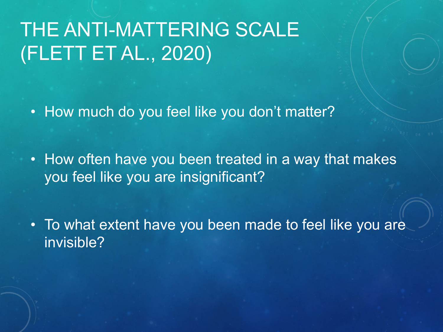#### THE ANTI-MATTERING SCALE (FLETT ET AL., 2020)

• How much do you feel like you don't matter?

• How often have you been treated in a way that makes you feel like you are insignificant?

• To what extent have you been made to feel like you are invisible?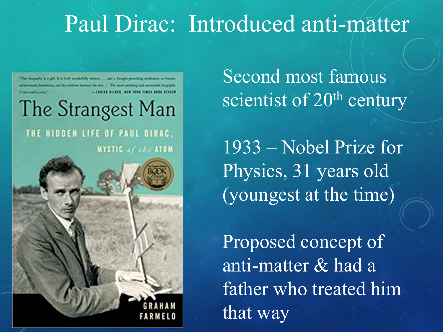#### Paul Dirac: Introduced anti-matter

"This biography is a gift, it is both worderfully written . . . and a thought-proveking meditation on burnas achievement, limitations, and the relations between the two: . . . The most apliching and memorable biography

The Strangest Man

THE HIDDEN LIFE OF PAUL DIRAC. MYSTIC of the ATOM



Second most famous scientist of 20<sup>th</sup> century

1933 – Nobel Prize for Physics, 31 years old (youngest at the time)

Proposed concept of anti-matter & had a father who treated him that way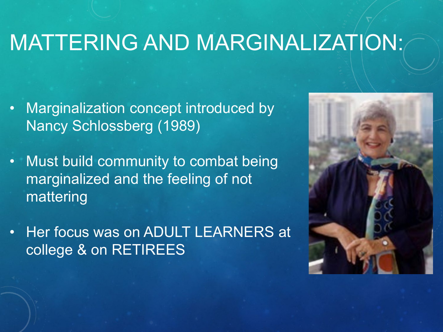#### MATTERING AND MARGINALIZATION:

- Marginalization concept introduced by Nancy Schlossberg (1989)
- Must build community to combat being marginalized and the feeling of not mattering
- Her focus was on ADULT LEARNERS at college & on RETIREES

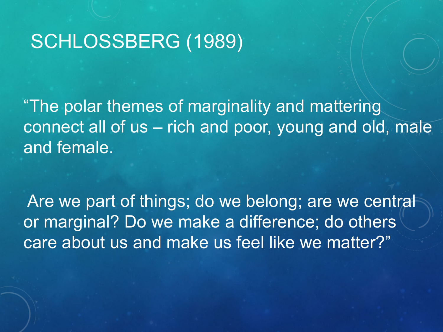#### SCHLOSSBERG (1989)

"The polar themes of marginality and mattering connect all of us – rich and poor, young and old, male and female.

Are we part of things; do we belong; are we central or marginal? Do we make a difference; do others care about us and make us feel like we matter?"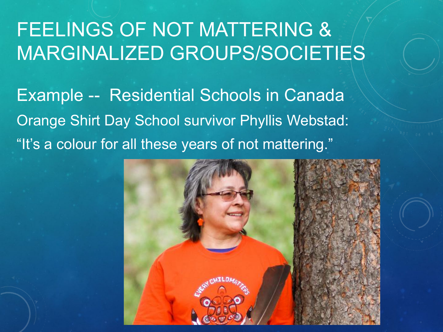#### FEELINGS OF NOT MATTERING & MARGINALIZED GROUPS/SOCIETIES

Example -- Residential Schools in Canada Orange Shirt Day School survivor Phyllis Webstad: "It's a colour for all these years of not mattering."

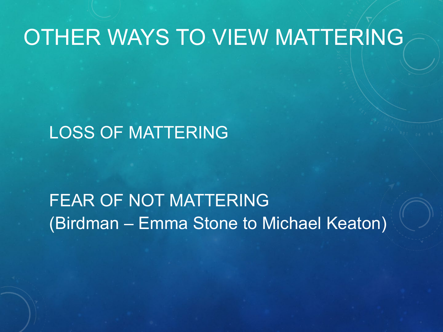#### OTHER WAYS TO VIEW MATTERING

#### LOSS OF MATTERING

#### FEAR OF NOT MATTERING (Birdman – Emma Stone to Michael Keaton)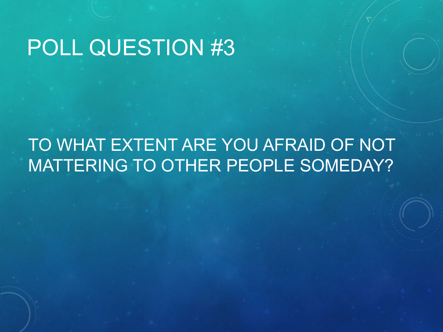#### POLL QUESTION #3

#### TO WHAT EXTENT ARE YOU AFRAID OF NOT MATTERING TO OTHER PEOPLE SOMEDAY?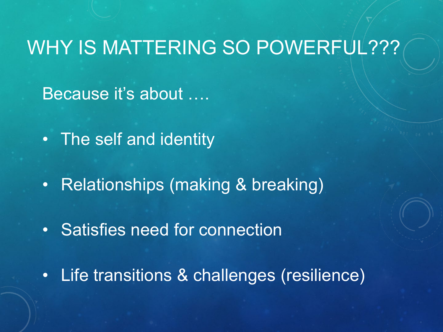#### WHY IS MATTERING SO POWERFUL???

Because it's about ….

- The self and identity
- Relationships (making & breaking)
- Satisfies need for connection
- Life transitions & challenges (resilience)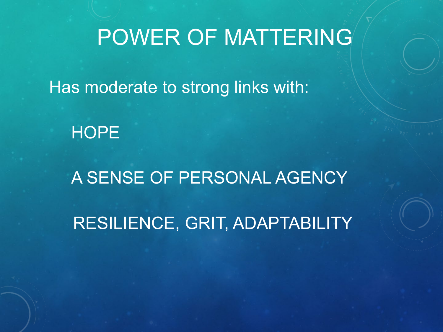## POWER OF MATTERING

Has moderate to strong links with:

#### **HOPE**

# A SENSE OF PERSONAL AGENCY RESILIENCE, GRIT, ADAPTABILITY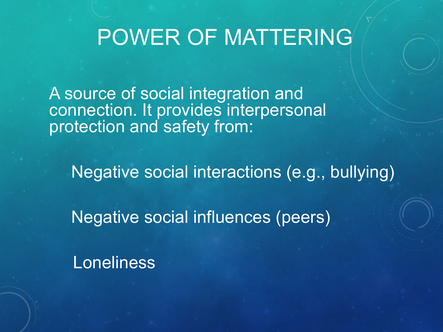#### POWER OF MATTERING

A source of social integration and connection. It provides interpersonal protection and safety from:

Negative social interactions (e.g., bullying)

Negative social influences (peers)

Loneliness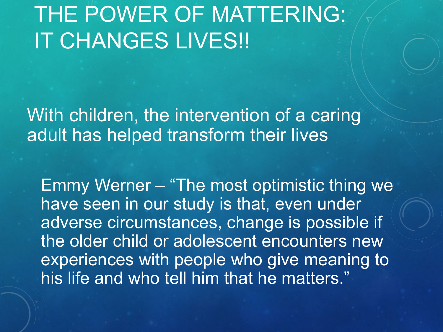## THE POWER OF MATTERING: IT CHANGES LIVES!!

With children, the intervention of a caring adult has helped transform their lives

Emmy Werner – "The most optimistic thing we have seen in our study is that, even under adverse circumstances, change is possible if the older child or adolescent encounters new experiences with people who give meaning to his life and who tell him that he matters."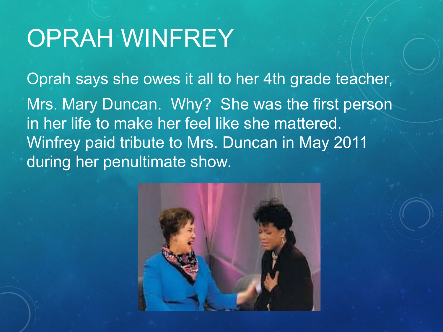# OPRAH WINFREY

Oprah says she owes it all to her 4th grade teacher, Mrs. Mary Duncan. Why? She was the first person in her life to make her feel like she mattered. Winfrey paid tribute to Mrs. Duncan in May 2011 during her penultimate show.

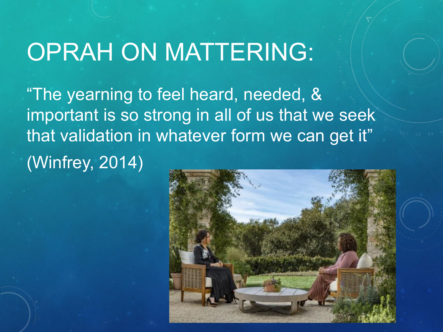## OPRAH ON MATTERING:

"The yearning to feel heard, needed, & important is so strong in all of us that we seek that validation in whatever form we can get it" (Winfrey, 2014)

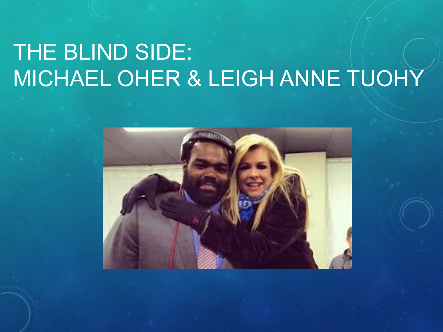## THE BLIND SIDE: MICHAEL OHER & LEIGH ANNE TUOHY

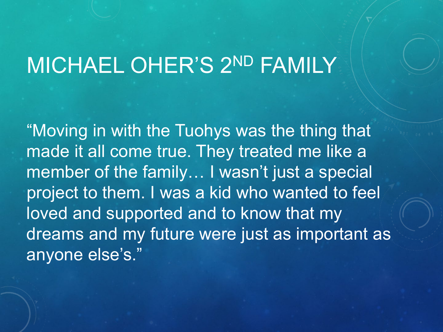# MICHAEL OHER'S 2ND FAMILY

"Moving in with the Tuohys was the thing that made it all come true. They treated me like a member of the family… I wasn't just a special project to them. I was a kid who wanted to feel loved and supported and to know that my dreams and my future were just as important as anyone else's."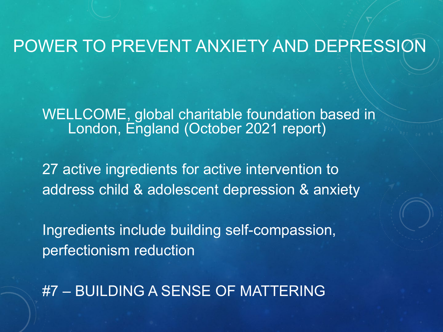#### POWER TO PREVENT ANXIETY AND DEPRESSION

WELLCOME, global charitable foundation based in London, England (October 2021 report)

27 active ingredients for active intervention to address child & adolescent depression & anxiety

Ingredients include building self-compassion, perfectionism reduction

#7 – BUILDING A SENSE OF MATTERING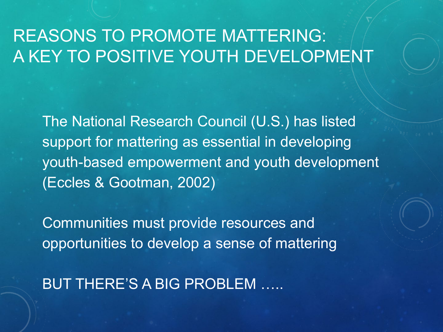#### REASONS TO PROMOTE MATTERING: A KEY TO POSITIVE YOUTH DEVELOPMENT

The National Research Council (U.S.) has listed support for mattering as essential in developing youth-based empowerment and youth development (Eccles & Gootman, 2002)

Communities must provide resources and opportunities to develop a sense of mattering

BUT THERE'S A BIG PROBLEM …..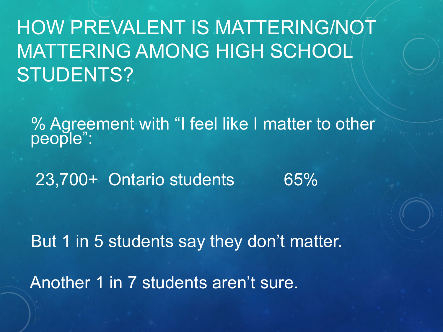HOW PREVALENT IS MATTERING/NOT MATTERING AMONG HIGH SCHOOL STUDENTS?

% Agreement with "I feel like I matter to other people":

23,700+ Ontario students 65%

But 1 in 5 students say they don't matter. Another 1 in 7 students aren't sure.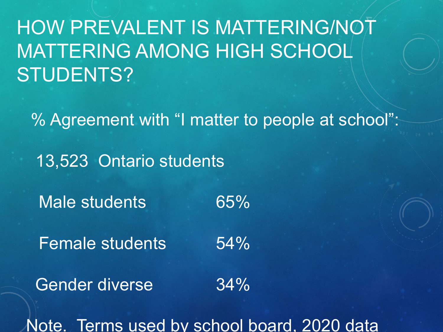HOW PREVALENT IS MATTERING/NOT MATTERING AMONG HIGH SCHOOL STUDENTS?

% Agreement with "I matter to people at school":

13,523 Ontario students

Male students 65%

Female students 54%

Gender diverse 34%

Note. Terms used by school board, 2020 data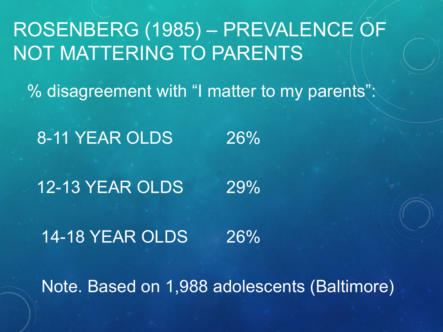#### ROSENBERG (1985) – PREVALENCE OF NOT MATTERING TO PARENTS

% disagreement with "I matter to my parents":

8-11 YEAR OLDS 26%

12-13 YEAR OLDS 29%

14-18 YEAR OLDS 26%

Note. Based on 1,988 adolescents (Baltimore)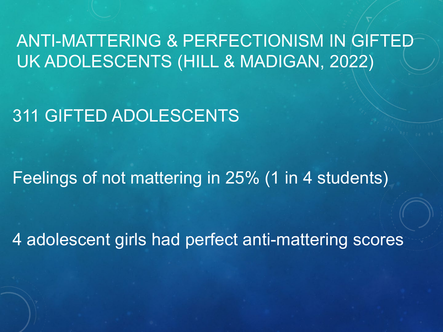#### ANTI-MATTERING & PERFECTIONISM IN GIFTED UK ADOLESCENTS (HILL & MADIGAN, 2022)

311 GIFTED ADOLESCENTS

Feelings of not mattering in 25% (1 in 4 students)

4 adolescent girls had perfect anti-mattering scores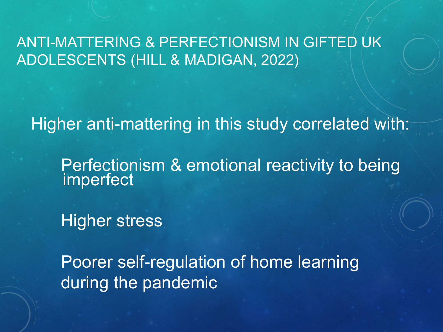ANTI-MATTERING & PERFECTIONISM IN GIFTED UK ADOLESCENTS (HILL & MADIGAN, 2022)

Higher anti-mattering in this study correlated with:

Perfectionism & emotional reactivity to being imperfect

Higher stress

Poorer self-regulation of home learning during the pandemic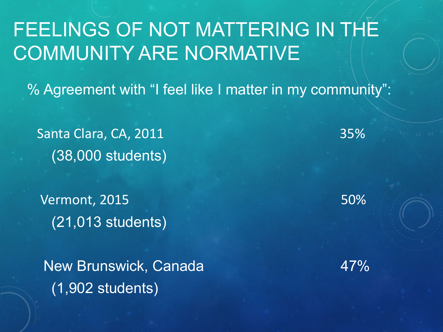#### FEELINGS OF NOT MATTERING IN THE COMMUNITY ARE NORMATIVE

% Agreement with "I feel like I matter in my community":

Santa Clara, CA, 2011 35% (38,000 students)

Vermont, 2015 50% (21,013 students)

New Brunswick, Canada 47% (1,902 students)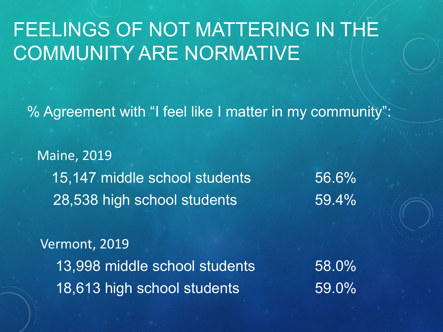#### FEELINGS OF NOT MATTERING IN THE COMMUNITY ARE NORMATIVE

% Agreement with "I feel like I matter in my community":

Maine, 2019 15,147 middle school students 56.6% 28,538 high school students 59.4%

Vermont, 2019 13,998 middle school students 58.0% 18,613 high school students 59.0%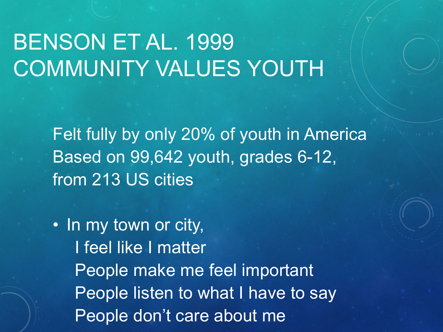## BENSON ET AL. 1999 COMMUNITY VALUES YOUTH

Felt fully by only 20% of youth in America Based on 99,642 youth, grades 6-12, from 213 US cities

• In my town or city, I feel like I matter People make me feel important People listen to what I have to say People don't care about me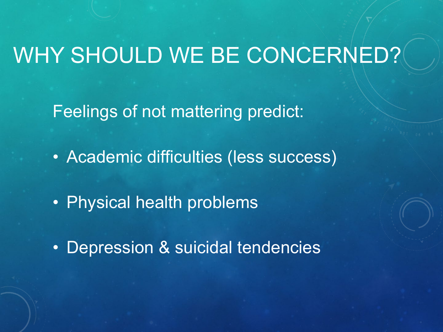# WHY SHOULD WE BE CONCERNED?

Feelings of not mattering predict:

• Academic difficulties (less success)

- Physical health problems
- Depression & suicidal tendencies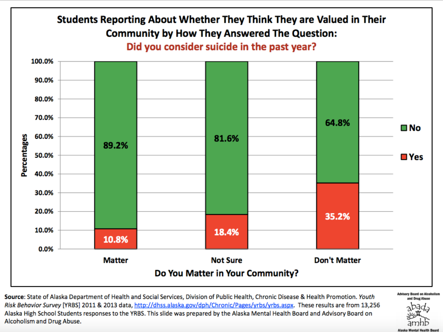

**Source**: State of Alaska Department of Health and Social Services, Division of Public Health, Chronic Disease & Health Promotion. Youth<br>*Risk Behavior Survey* [YRBS] 2011 & 2013 data, http://dhss.alaska.gov/dph/Chronic/Pa Alaska High School Students responses to the YRBS. This slide was prepared by the Alaska Mental Health Board and Advisory Board on Alcoholism and Drug Abuse.

**Advisory Board on Alcoholism** and Drug Abuse

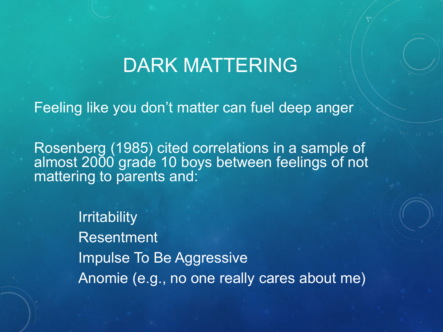#### DARK MATTERING

Feeling like you don't matter can fuel deep anger

Rosenberg (1985) cited correlations in a sample of almost 2000 grade 10 boys between feelings of not mattering to parents and:

> **Irritability** Resentment Impulse To Be Aggressive Anomie (e.g., no one really cares about me)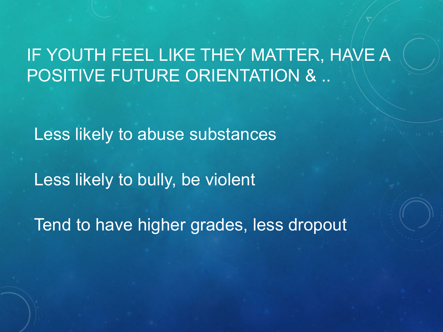#### IF YOUTH FEEL LIKE THEY MATTER, HAVE A POSITIVE FUTURE ORIENTATION & ..

Less likely to abuse substances

Less likely to bully, be violent

Tend to have higher grades, less dropout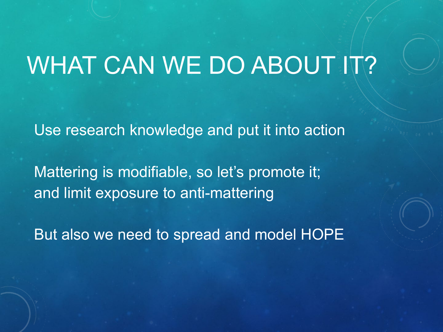# WHAT CAN WE DO ABOUT IT?

Use research knowledge and put it into action

Mattering is modifiable, so let's promote it; and limit exposure to anti-mattering

But also we need to spread and model HOPE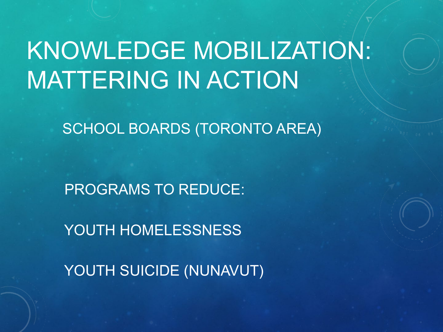# KNOWLEDGE MOBILIZATION: MATTERING IN ACTION

SCHOOL BOARDS (TORONTO AREA)

PROGRAMS TO REDUCE:

YOUTH HOMELESSNESS

YOUTH SUICIDE (NUNAVUT)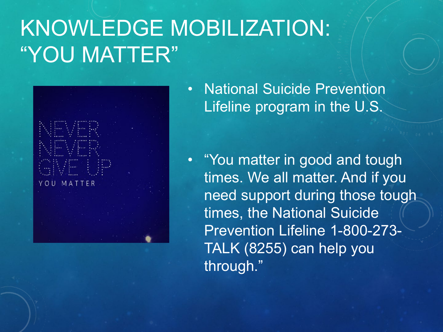## KNOWLEDGE MOBILIZATION: "YOU MATTER"



• National Suicide Prevention Lifeline program in the U.S.

• "You matter in good and tough times. We all matter. And if you need support during those tough times, the National Suicide Prevention Lifeline 1-800-273- TALK (8255) can help you through."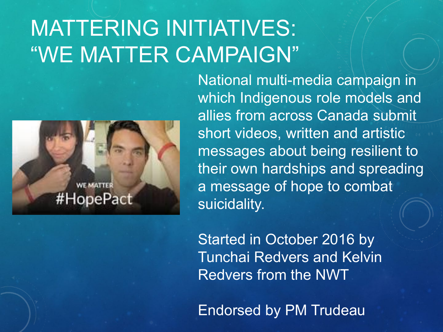## MATTERING INITIATIVES: "WE MATTER CAMPAIGN"



National multi-media campaign in which Indigenous role models and allies from across Canada submit short videos, written and artistic messages about being resilient to their own hardships and spreading a message of hope to combat suicidality.

Started in October 2016 by Tunchai Redvers and Kelvin Redvers from the NWT

Endorsed by PM Trudeau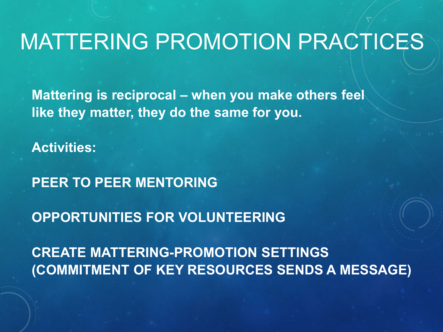#### MATTERING PROMOTION PRACTICES

**Mattering is reciprocal – when you make others feel like they matter, they do the same for you.**

**Activities:**

**PEER TO PEER MENTORING**

**OPPORTUNITIES FOR VOLUNTEERING**

**CREATE MATTERING-PROMOTION SETTINGS (COMMITMENT OF KEY RESOURCES SENDS A MESSAGE)**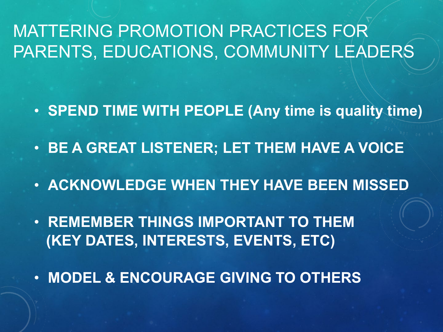#### MATTERING PROMOTION PRACTICES FOR PARENTS, EDUCATIONS, COMMUNITY LEADERS

- **SPEND TIME WITH PEOPLE (Any time is quality time)**
- **BE A GREAT LISTENER; LET THEM HAVE A VOICE**
- **ACKNOWLEDGE WHEN THEY HAVE BEEN MISSED**
- **REMEMBER THINGS IMPORTANT TO THEM (KEY DATES, INTERESTS, EVENTS, ETC)**
- **MODEL & ENCOURAGE GIVING TO OTHERS**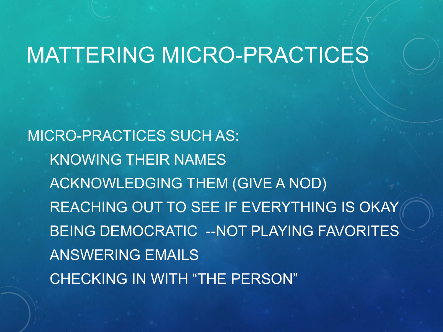#### MATTERING MICRO-PRACTICES

MICRO-PRACTICES SUCH AS: KNOWING THEIR NAMES ACKNOWLEDGING THEM (GIVE A NOD) REACHING OUT TO SEE IF EVERYTHING IS OKAY BEING DEMOCRATIC --NOT PLAYING FAVORITES ANSWERING EMAILS CHECKING IN WITH "THE PERSON"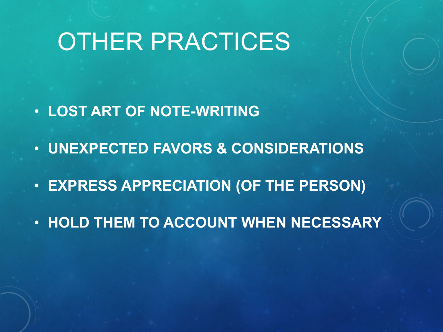## OTHER PRACTICES

- **LOST ART OF NOTE-WRITING**
- **UNEXPECTED FAVORS & CONSIDERATIONS**
- **EXPRESS APPRECIATION (OF THE PERSON)**
- **HOLD THEM TO ACCOUNT WHEN NECESSARY**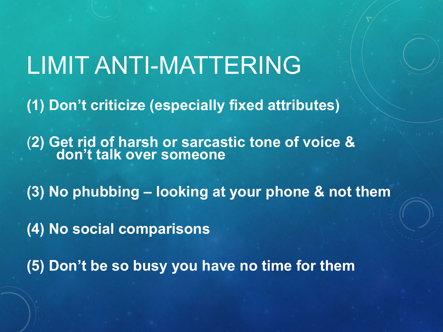# LIMIT ANTI-MATTERING

**(1) Don't criticize (especially fixed attributes)**

(**2) Get rid of harsh or sarcastic tone of voice & don't talk over someone**

**(3) No phubbing – looking at your phone & not them**

**(4) No social comparisons**

**(5) Don't be so busy you have no time for them**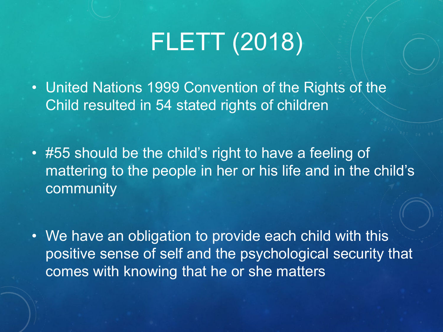# FLETT (2018)

• United Nations 1999 Convention of the Rights of the Child resulted in 54 stated rights of children

• #55 should be the child's right to have a feeling of mattering to the people in her or his life and in the child's community

• We have an obligation to provide each child with this positive sense of self and the psychological security that comes with knowing that he or she matters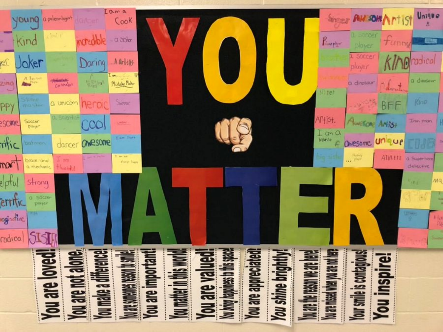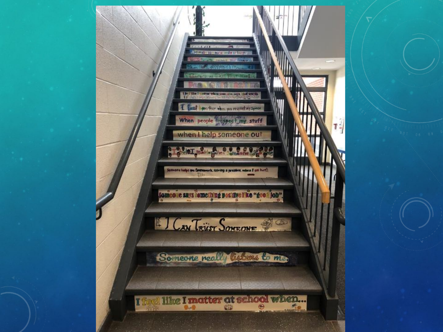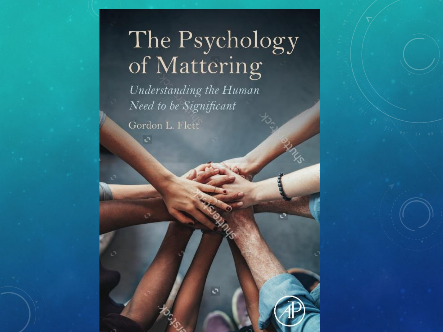# The Psychology<br>of Mattering

 $\sigma$ 

Understanding the Human Need to be Significant

Gordon L. Flett

õ